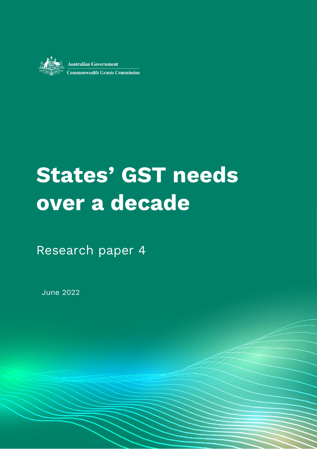

**Australian Government Commonwealth Grants Commission** 

# **States' GST needs over a decade**

ww.charles June 2022 and Paper Series June 2022 and Paper Series June 2022 and Paper Series June 2022 and

Research paper 4

June 2022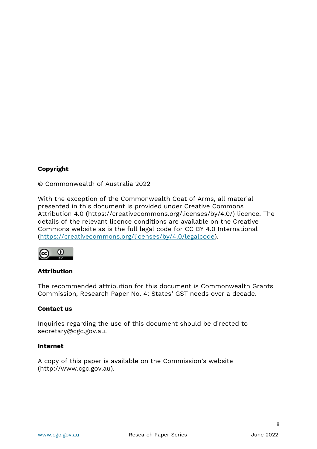#### **Copyright**

© Commonwealth of Australia 2022

With the exception of the Commonwealth Coat of Arms, all material presented in this document is provided under Creative Commons Attribution 4.0 (https://creativecommons.org/licenses/by/4.0/) licence. The details of the relevant licence conditions are available on the Creative Commons website as is the full legal code for CC BY 4.0 International [\(https://creativecommons.org/licenses/by/4.0/legalcode\)](https://creativecommons.org/licenses/by/4.0/legalcode).



#### **Attribution**

The recommended attribution for this document is Commonwealth Grants Commission, Research Paper No. 4: States' GST needs over a decade.

#### **Contact us**

Inquiries regarding the use of this document should be directed to secretary@cgc.gov.au.

#### **Internet**

A copy of this paper is available on the Commission's website (http://www.cgc.gov.au).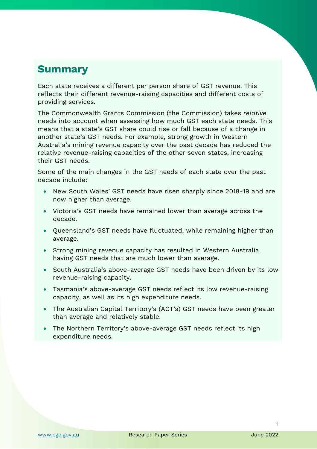# **Summary**

Each state receives a different per person share of GST revenue. This reflects their different revenue-raising capacities and different costs of providing services.

The Commonwealth Grants Commission (the Commission) takes *relative* needs into account when assessing how much GST each state needs. This means that a state's GST share could rise or fall because of a change in another state's GST needs. For example, strong growth in Western Australia's mining revenue capacity over the past decade has reduced the relative revenue-raising capacities of the other seven states, increasing their GST needs.

Some of the main changes in the GST needs of each state over the past decade include:

- New South Wales' GST needs have risen sharply since 2018-19 and are now higher than average.
- Victoria's GST needs have remained lower than average across the decade.
- Queensland's GST needs have fluctuated, while remaining higher than average.
- Strong mining revenue capacity has resulted in Western Australia having GST needs that are much lower than average.
- South Australia's above-average GST needs have been driven by its low revenue-raising capacity.
- Tasmania's above-average GST needs reflect its low revenue-raising capacity, as well as its high expenditure needs.
- The Australian Capital Territory's (ACT's) GST needs have been greater than average and relatively stable.
- The Northern Territory's above-average GST needs reflect its high expenditure needs.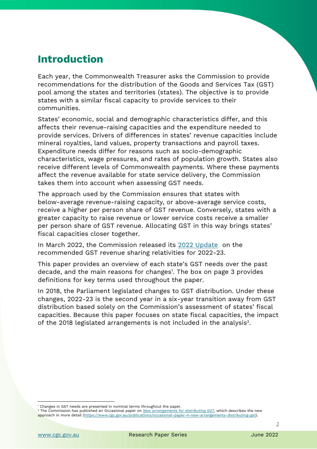# **Introduction**

Each year, the Commonwealth Treasurer asks the Commission to provide recommendations for the distribution of the Goods and Services Tax (GST) pool among the states and territories (states). The objective is to provide states with a similar fiscal capacity to provide services to their communities.

States' economic, social and demographic characteristics differ, and this affects their revenue-raising capacities and the expenditure needed to provide services. Drivers of differences in states' revenue capacities include mineral royalties, land values, property transactions and payroll taxes. Expenditure needs differ for reasons such as socio-demographic characteristics, wage pressures, and rates of population growth. States also receive different levels of Commonwealth payments. Where these payments affect the revenue available for state service delivery, the Commission takes them into account when assessing GST needs.

The approach used by the Commission ensures that states with below-average revenue-raising capacity, or above-average service costs, receive a higher per person share of GST revenue. Conversely, states with a greater capacity to raise revenue or lower service costs receive a smaller per person share of GST revenue. Allocating GST in this way brings states' fiscal capacities closer together.

In March 2022, the Commission released its [2022 Update](https://www.cgc.gov.au/publications/2022-update) on the recommended GST revenue sharing relativities for 2022-23.

This paper provides an overview of each state's GST needs over the past decade, and the main reasons for changes<sup>1</sup>. The box on page 3 provides definitions for key terms used throughout the paper.

In 2018, the Parliament legislated changes to GST distribution. Under these changes, 2022-23 is the second year in a six-year transition away from GST distribution based solely on the Commission's assessment of states' fiscal capacities. Because this paper focuses on state fiscal capacities, the impact of the 2018 legislated arrangements is not included in the analysis $^2$ .

<sup>&</sup>lt;sup>1</sup> Changes in GST needs are presented in nominal terms throughout the paper.

<sup>2</sup> The Commission has published an Occasional paper on *[New arrangements for distributing GST](https://www.cgc.gov.au/publications/occasional-paper-4-new-arrangements-distributing-gst)*, which describes the new approach in more detail [\(https://www.cgc.gov.au/publications/occasional-paper-4-new-arrangements-distributing-gst\)](https://www.cgc.gov.au/publications/occasional-paper-4-new-arrangements-distributing-gst).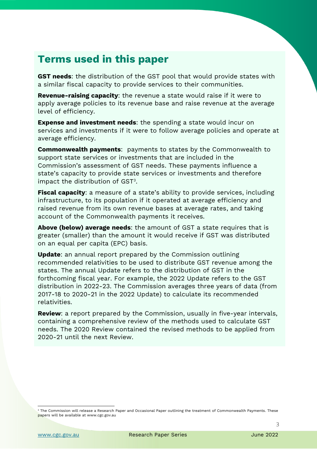# **Terms used in this paper**

**GST needs**: the distribution of the GST pool that would provide states with a similar fiscal capacity to provide services to their communities.

**Revenue-raising capacity**: the revenue a state would raise if it were to apply average policies to its revenue base and raise revenue at the average level of efficiency.

**Expense and investment needs**: the spending a state would incur on services and investments if it were to follow average policies and operate at average efficiency.

**Commonwealth payments**: payments to states by the Commonwealth to support state services or investments that are included in the Commission's assessment of GST needs. These payments influence a state's capacity to provide state services or investments and therefore impact the distribution of GST $^{\rm 3}.$ 

**Fiscal capacity**: a measure of a state's ability to provide services, including infrastructure, to its population if it operated at average efficiency and raised revenue from its own revenue bases at average rates, and taking account of the Commonwealth payments it receives.

**Above (below) average needs**: the amount of GST a state requires that is greater (smaller) than the amount it would receive if GST was distributed on an equal per capita (EPC) basis.

**Update**: an annual report prepared by the Commission outlining recommended relativities to be used to distribute GST revenue among the states. The annual Update refers to the distribution of GST in the forthcoming fiscal year. For example, the 2022 Update refers to the GST distribution in 2022-23. The Commission averages three years of data (from 2017-18 to 2020-21 in the 2022 Update) to calculate its recommended relativities.

**Review**: a report prepared by the Commission, usually in five-year intervals, containing a comprehensive review of the methods used to calculate GST needs. The 2020 Review contained the revised methods to be applied from 2020-21 until the next Review.

 $^3$  The Commission will release a Research Paper and Occasional Paper outlining the treatment of Commonwealth Payments. These papers will be available at www.cgc.gov.au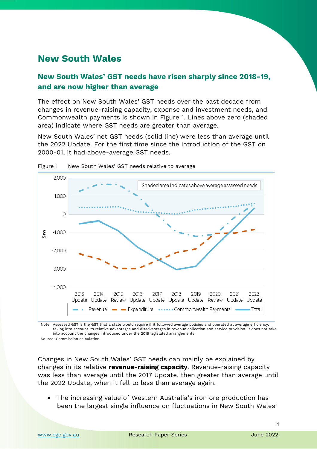## **New South Wales**

#### **New South Wales' GST needs have risen sharply since 2018-19, and are now higher than average**

The effect on New South Wales' GST needs over the past decade from changes in revenue-raising capacity, expense and investment needs, and Commonwealth payments is shown in [Figure 1.](#page-5-0) Lines above zero (shaded area) indicate where GST needs are greater than average.

New South Wales' net GST needs (solid line) were less than average until the 2022 Update. For the first time since the introduction of the GST on 2000-01, it had above-average GST needs.



<span id="page-5-0"></span>

Note: Assessed GST is the GST that a state would require if it followed average policies and operated at average efficiency, taking into account its relative advantages and disadvantages in revenue collection and service provision. It does not take into account the changes introduced under the 2018 legislated arrangements.

Source: Commission calculation.

Changes in New South Wales' GST needs can mainly be explained by changes in its relative **revenue-raising capacity**. Revenue-raising capacity was less than average until the 2017 Update, then greater than average until the 2022 Update, when it fell to less than average again.

• The increasing value of Western Australia's iron ore production has been the largest single influence on fluctuations in New South Wales'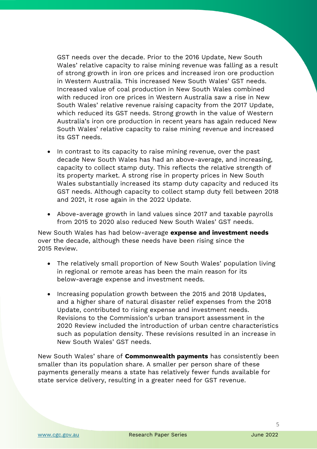GST needs over the decade. Prior to the 2016 Update, New South Wales' relative capacity to raise mining revenue was falling as a result of strong growth in iron ore prices and increased iron ore production in Western Australia. This increased New South Wales' GST needs. Increased value of coal production in New South Wales combined with reduced iron ore prices in Western Australia saw a rise in New South Wales' relative revenue raising capacity from the 2017 Update, which reduced its GST needs. Strong growth in the value of Western Australia's iron ore production in recent years has again reduced New South Wales' relative capacity to raise mining revenue and increased its GST needs.

- In contrast to its capacity to raise mining revenue, over the past decade New South Wales has had an above-average, and increasing, capacity to collect stamp duty. This reflects the relative strength of its property market. A strong rise in property prices in New South Wales substantially increased its stamp duty capacity and reduced its GST needs. Although capacity to collect stamp duty fell between 2018 and 2021, it rose again in the 2022 Update.
- Above-average growth in land values since 2017 and taxable payrolls from 2015 to 2020 also reduced New South Wales' GST needs.

New South Wales has had below-average **expense and investment needs** over the decade, although these needs have been rising since the 2015 Review.

- The relatively small proportion of New South Wales' population living in regional or remote areas has been the main reason for its below-average expense and investment needs.
- Increasing population growth between the 2015 and 2018 Updates, and a higher share of natural disaster relief expenses from the 2018 Update, contributed to rising expense and investment needs. Revisions to the Commission's urban transport assessment in the 2020 Review included the introduction of urban centre characteristics such as population density. These revisions resulted in an increase in New South Wales' GST needs.

New South Wales' share of **Commonwealth payments** has consistently been smaller than its population share. A smaller per person share of these payments generally means a state has relatively fewer funds available for state service delivery, resulting in a greater need for GST revenue.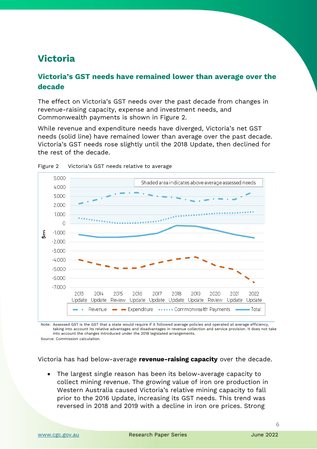## **Victoria**

#### **Victoria's GST needs have remained lower than average over the decade**

The effect on Victoria's GST needs over the past decade from changes in revenue-raising capacity, expense and investment needs, and Commonwealth payments is shown in [Figure 2.](#page-7-0)

While revenue and expenditure needs have diverged, Victoria's net GST needs (solid line) have remained lower than average over the past decade. Victoria's GST needs rose slightly until the 2018 Update, then declined for the rest of the decade.



<span id="page-7-0"></span>

Note: Assessed GST is the GST that a state would require if it followed average policies and operated at average efficiency, taking into account its relative advantages and disadvantages in revenue collection and service provision. It does not take into account the changes introduced under the 2018 legislated arrangements.

Source: Commission calculation.

Victoria has had below-average **revenue-raising capacity** over the decade.

• The largest single reason has been its below-average capacity to collect mining revenue. The growing value of iron ore production in Western Australia caused Victoria's relative mining capacity to fall prior to the 2016 Update, increasing its GST needs. This trend was reversed in 2018 and 2019 with a decline in iron ore prices. Strong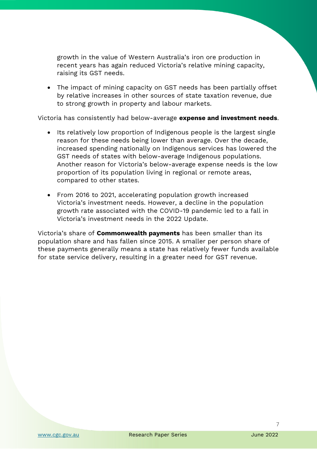growth in the value of Western Australia's iron ore production in recent years has again reduced Victoria's relative mining capacity, raising its GST needs.

• The impact of mining capacity on GST needs has been partially offset by relative increases in other sources of state taxation revenue, due to strong growth in property and labour markets.

Victoria has consistently had below-average **expense and investment needs**.

- Its relatively low proportion of Indigenous people is the largest single reason for these needs being lower than average. Over the decade, increased spending nationally on Indigenous services has lowered the GST needs of states with below-average Indigenous populations. Another reason for Victoria's below-average expense needs is the low proportion of its population living in regional or remote areas, compared to other states.
- From 2016 to 2021, accelerating population growth increased Victoria's investment needs. However, a decline in the population growth rate associated with the COVID-19 pandemic led to a fall in Victoria's investment needs in the 2022 Update.

Victoria's share of **Commonwealth payments** has been smaller than its population share and has fallen since 2015. A smaller per person share of these payments generally means a state has relatively fewer funds available for state service delivery, resulting in a greater need for GST revenue.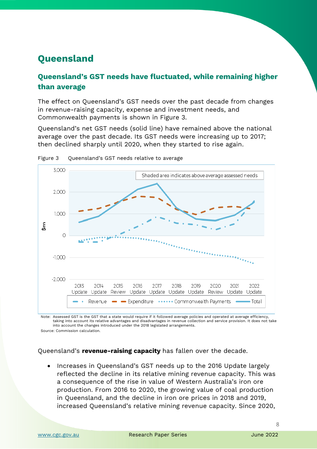# **Queensland**

### **Queensland's GST needs have fluctuated, while remaining higher than average**

The effect on Queensland's GST needs over the past decade from changes in revenue-raising capacity, expense and investment needs, and Commonwealth payments is shown in [Figure 3.](#page-9-0)

Queensland's net GST needs (solid line) have remained above the national average over the past decade. Its GST needs were increasing up to 2017; then declined sharply until 2020, when they started to rise again.



<span id="page-9-0"></span>Figure 3 Queensland's GST needs relative to average

Note: Assessed GST is the GST that a state would require if it followed average policies and operated at average efficiency, taking into account its relative advantages and disadvantages in revenue collection and service provision. It does not take into account the changes introduced under the 2018 legislated arrangements. Source: Commission calculation.

Queensland's **revenue-raising capacity** has fallen over the decade.

• Increases in Queensland's GST needs up to the 2016 Update largely reflected the decline in its relative mining revenue capacity. This was a consequence of the rise in value of Western Australia's iron ore production. From 2016 to 2020, the growing value of coal production in Queensland, and the decline in iron ore prices in 2018 and 2019, increased Queensland's relative mining revenue capacity. Since 2020,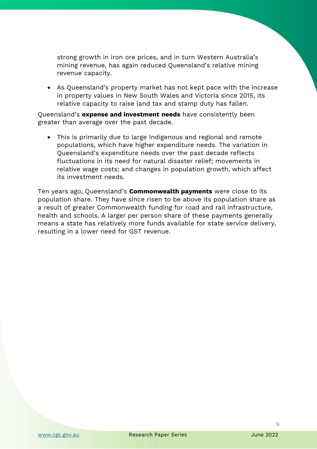strong growth in iron ore prices, and in turn Western Australia's mining revenue, has again reduced Queensland's relative mining revenue capacity.

• As Queensland's property market has not kept pace with the increase in property values in New South Wales and Victoria since 2015, its relative capacity to raise land tax and stamp duty has fallen.

Queensland's **expense and investment needs** have consistently been greater than average over the past decade.

• This is primarily due to large Indigenous and regional and remote populations, which have higher expenditure needs. The variation in Queensland's expenditure needs over the past decade reflects fluctuations in its need for natural disaster relief; movements in relative wage costs; and changes in population growth, which affect its investment needs.

Ten years ago, Queensland's **Commonwealth payments** were close to its population share. They have since risen to be above its population share as a result of greater Commonwealth funding for road and rail infrastructure, health and schools. A larger per person share of these payments generally means a state has relatively more funds available for state service delivery, resulting in a lower need for GST revenue.

 $\overline{Q}$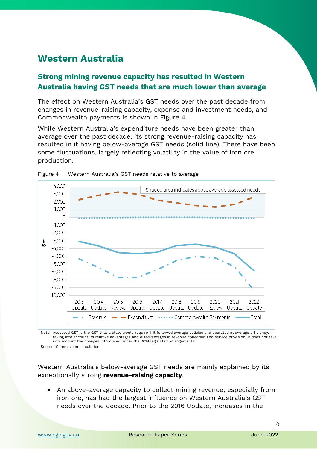## **Western Australia**

#### **Strong mining revenue capacity has resulted in Western Australia having GST needs that are much lower than average**

The effect on Western Australia's GST needs over the past decade from changes in revenue-raising capacity, expense and investment needs, and Commonwealth payments is shown in [Figure 4.](#page-11-0)

While Western Australia's expenditure needs have been greater than average over the past decade, its strong revenue-raising capacity has resulted in it having below-average GST needs (solid line). There have been some fluctuations, largely reflecting volatility in the value of iron ore production.



<span id="page-11-0"></span>Figure 4 Western Australia's GST needs relative to average

Note: Assessed GST is the GST that a state would require if it followed average policies and operated at average efficiency, taking into account its relative advantages and disadvantages in revenue collection and service provision. It does not take into account the changes introduced under the 2018 legislated arrangements.

Source: Commission calculation.

Western Australia's below-average GST needs are mainly explained by its exceptionally strong **revenue-raising capacity**.

• An above-average capacity to collect mining revenue, especially from iron ore, has had the largest influence on Western Australia's GST needs over the decade. Prior to the 2016 Update, increases in the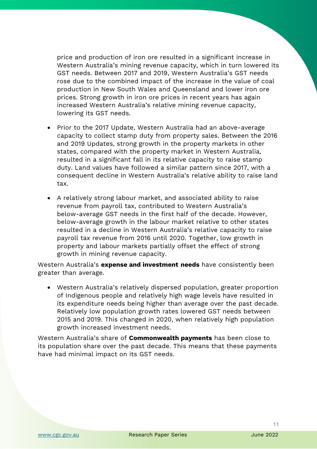price and production of iron ore resulted in a significant increase in Western Australia's mining revenue capacity, which in turn lowered its GST needs. Between 2017 and 2019, Western Australia's GST needs rose due to the combined impact of the increase in the value of coal production in New South Wales and Queensland and lower iron ore prices. Strong growth in iron ore prices in recent years has again increased Western Australia's relative mining revenue capacity, lowering its GST needs.

- Prior to the 2017 Update, Western Australia had an above-average capacity to collect stamp duty from property sales. Between the 2016 and 2019 Updates, strong growth in the property markets in other states, compared with the property market in Western Australia, resulted in a significant fall in its relative capacity to raise stamp duty. Land values have followed a similar pattern since 2017, with a consequent decline in Western Australia's relative ability to raise land tax.
- A relatively strong labour market, and associated ability to raise revenue from payroll tax, contributed to Western Australia's below-average GST needs in the first half of the decade. However, below-average growth in the labour market relative to other states resulted in a decline in Western Australia's relative capacity to raise payroll tax revenue from 2016 until 2020. Together, low growth in property and labour markets partially offset the effect of strong growth in mining revenue capacity.

Western Australia's **expense and investment needs** have consistently been greater than average.

• Western Australia's relatively dispersed population, greater proportion of Indigenous people and relatively high wage levels have resulted in its expenditure needs being higher than average over the past decade. Relatively low population growth rates lowered GST needs between 2015 and 2019. This changed in 2020, when relatively high population growth increased investment needs.

Western Australia's share of **Commonwealth payments** has been close to its population share over the past decade. This means that these payments have had minimal impact on its GST needs.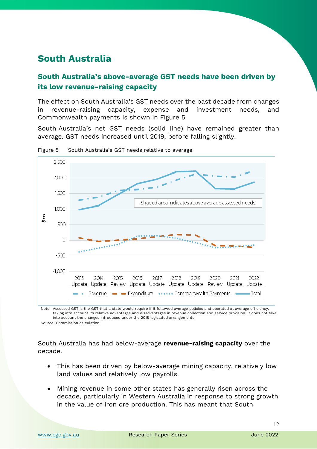## **South Australia**

#### **South Australia's above-average GST needs have been driven by its low revenue-raising capacity**

The effect on South Australia's GST needs over the past decade from changes in revenue-raising capacity, expense and investment needs, and Commonwealth payments is shown in [Figure 5.](#page-13-0)

South Australia's net GST needs (solid line) have remained greater than average. GST needs increased until 2019, before falling slightly.



<span id="page-13-0"></span>Figure 5 South Australia's GST needs relative to average

Note: Assessed GST is the GST that a state would require if it followed average policies and operated at average efficiency, taking into account its relative advantages and disadvantages in revenue collection and service provision. It does not take into account the changes introduced under the 2018 legislated arrangements.

Source: Commission calculation.

#### South Australia has had below-average **revenue-raising capacity** over the decade.

- This has been driven by below-average mining capacity, relatively low land values and relatively low payrolls.
- Mining revenue in some other states has generally risen across the decade, particularly in Western Australia in response to strong growth in the value of iron ore production. This has meant that South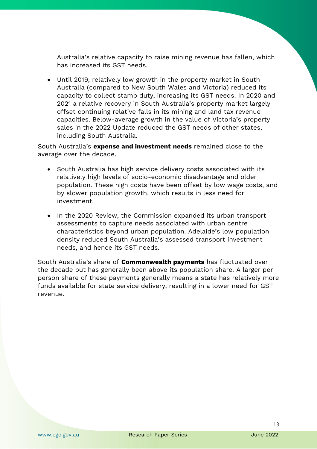Australia's relative capacity to raise mining revenue has fallen, which has increased its GST needs.

• Until 2019, relatively low growth in the property market in South Australia (compared to New South Wales and Victoria) reduced its capacity to collect stamp duty, increasing its GST needs. In 2020 and 2021 a relative recovery in South Australia's property market largely offset continuing relative falls in its mining and land tax revenue capacities. Below-average growth in the value of Victoria's property sales in the 2022 Update reduced the GST needs of other states, including South Australia.

South Australia's **expense and investment needs** remained close to the average over the decade.

- South Australia has high service delivery costs associated with its relatively high levels of socio-economic disadvantage and older population. These high costs have been offset by low wage costs, and by slower population growth, which results in less need for investment.
- In the 2020 Review, the Commission expanded its urban transport assessments to capture needs associated with urban centre characteristics beyond urban population. Adelaide's low population density reduced South Australia's assessed transport investment needs, and hence its GST needs.

South Australia's share of **Commonwealth payments** has fluctuated over the decade but has generally been above its population share. A larger per person share of these payments generally means a state has relatively more funds available for state service delivery, resulting in a lower need for GST revenue.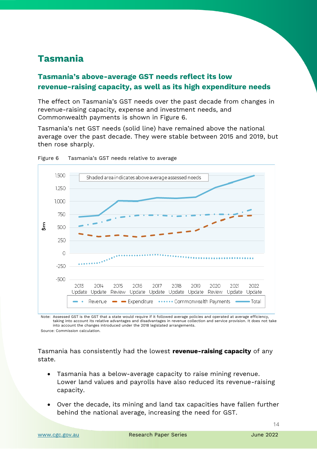## **Tasmania**

#### **Tasmania's above-average GST needs reflect its low revenue-raising capacity, as well as its high expenditure needs**

The effect on Tasmania's GST needs over the past decade from changes in revenue-raising capacity, expense and investment needs, and Commonwealth payments is shown in [Figure 6.](#page-15-0)

Tasmania's net GST needs (solid line) have remained above the national average over the past decade. They were stable between 2015 and 2019, but then rose sharply.



<span id="page-15-0"></span>Figure 6 Tasmania's GST needs relative to average

Note: Assessed GST is the GST that a state would require if it followed average policies and operated at average efficiency, taking into account its relative advantages and disadvantages in revenue collection and service provision. It does not take into account the changes introduced under the 2018 legislated arrangements. Source: Commission calculation.

Tasmania has consistently had the lowest **revenue-raising capacity** of any state.

- Tasmania has a below-average capacity to raise mining revenue. Lower land values and payrolls have also reduced its revenue-raising capacity.
- Over the decade, its mining and land tax capacities have fallen further behind the national average, increasing the need for GST.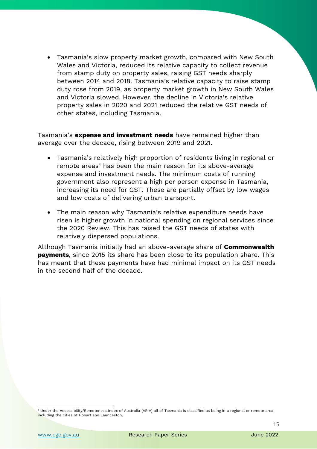• Tasmania's slow property market growth, compared with New South Wales and Victoria, reduced its relative capacity to collect revenue from stamp duty on property sales, raising GST needs sharply between 2014 and 2018. Tasmania's relative capacity to raise stamp duty rose from 2019, as property market growth in New South Wales and Victoria slowed. However, the decline in Victoria's relative property sales in 2020 and 2021 reduced the relative GST needs of other states, including Tasmania.

Tasmania's **expense and investment needs** have remained higher than average over the decade, rising between 2019 and 2021.

- Tasmania's relatively high proportion of residents living in regional or remote areas<sup>4</sup> has been the main reason for its above-average expense and investment needs. The minimum costs of running government also represent a high per person expense in Tasmania, increasing its need for GST. These are partially offset by low wages and low costs of delivering urban transport.
- The main reason why Tasmania's relative expenditure needs have risen is higher growth in national spending on regional services since the 2020 Review. This has raised the GST needs of states with relatively dispersed populations.

Although Tasmania initially had an above-average share of **Commonwealth payments**, since 2015 its share has been close to its population share. This has meant that these payments have had minimal impact on its GST needs in the second half of the decade.

<sup>4</sup> Under the Accessibility/Remoteness Index of Australia (ARIA) all of Tasmania is classified as being in a regional or remote area, including the cities of Hobart and Launceston.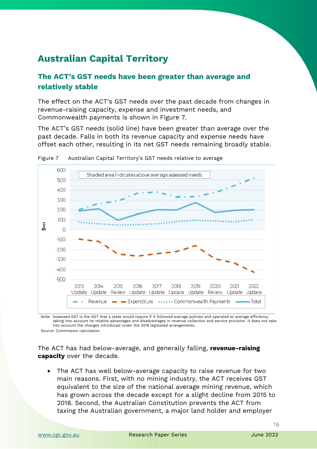# **Australian Capital Territory**

#### **The ACT's GST needs have been greater than average and relatively stable**

The effect on the ACT's GST needs over the past decade from changes in revenue-raising capacity, expense and investment needs, and Commonwealth payments is shown in [Figure 7.](#page-17-0)

The ACT's GST needs (solid line) have been greater than average over the past decade. Falls in both its revenue capacity and expense needs have offset each other, resulting in its net GST needs remaining broadly stable.



<span id="page-17-0"></span>Figure 7 Australian Capital Territory's GST needs relative to average

Note: Assessed GST is the GST that a state would require if it followed average policies and operated at average efficiency, taking into account its relative advantages and disadvantages in revenue collection and service provision. It does not take into account the changes introduced under the 2018 legislated arrangements. Source: Commission calculation.

The ACT has had below-average, and generally falling, **revenue-raising capacity** over the decade.

• The ACT has well below-average capacity to raise revenue for two main reasons. First, with no mining industry, the ACT receives GST equivalent to the size of the national average mining revenue, which has grown across the decade except for a slight decline from 2015 to 2018. Second, the Australian Constitution prevents the ACT from taxing the Australian government, a major land holder and employer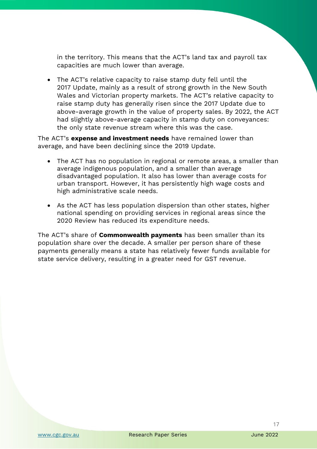in the territory. This means that the ACT's land tax and payroll tax capacities are much lower than average.

• The ACT's relative capacity to raise stamp duty fell until the 2017 Update, mainly as a result of strong growth in the New South Wales and Victorian property markets. The ACT's relative capacity to raise stamp duty has generally risen since the 2017 Update due to above-average growth in the value of property sales. By 2022, the ACT had slightly above-average capacity in stamp duty on conveyances: the only state revenue stream where this was the case.

The ACT's **expense and investment needs** have remained lower than average, and have been declining since the 2019 Update.

- The ACT has no population in regional or remote areas, a smaller than average indigenous population, and a smaller than average disadvantaged population. It also has lower than average costs for urban transport. However, it has persistently high wage costs and high administrative scale needs.
- As the ACT has less population dispersion than other states, higher national spending on providing services in regional areas since the 2020 Review has reduced its expenditure needs.

The ACT's share of **Commonwealth payments** has been smaller than its population share over the decade. A smaller per person share of these payments generally means a state has relatively fewer funds available for state service delivery, resulting in a greater need for GST revenue.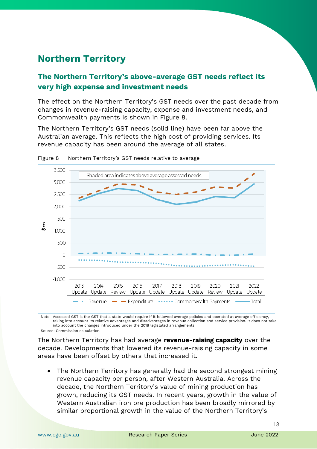# **Northern Territory**

#### **The Northern Territory's above-average GST needs reflect its very high expense and investment needs**

The effect on the Northern Territory's GST needs over the past decade from changes in revenue-raising capacity, expense and investment needs, and Commonwealth payments is shown in [Figure 8.](#page-19-0)

The Northern Territory's GST needs (solid line) have been far above the Australian average. This reflects the high cost of providing services. Its revenue capacity has been around the average of all states.



<span id="page-19-0"></span>Figure 8 Northern Territory's GST needs relative to average

Note: Assessed GST is the GST that a state would require if it followed average policies and operated at average efficiency, taking into account its relative advantages and disadvantages in revenue collection and service provision. It does not take into account the changes introduced under the 2018 legislated arrangements. Source: Commission calculation.

The Northern Territory has had average **revenue-raising capacity** over the decade. Developments that lowered its revenue-raising capacity in some areas have been offset by others that increased it.

• The Northern Territory has generally had the second strongest mining revenue capacity per person, after Western Australia. Across the decade, the Northern Territory's value of mining production has grown, reducing its GST needs. In recent years, growth in the value of Western Australian iron ore production has been broadly mirrored by similar proportional growth in the value of the Northern Territory's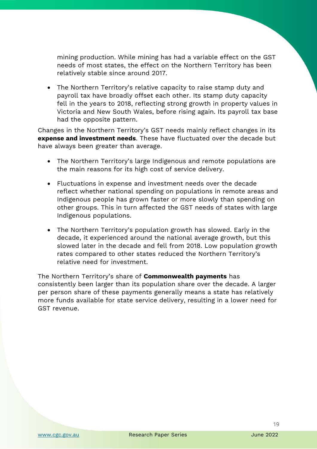mining production. While mining has had a variable effect on the GST needs of most states, the effect on the Northern Territory has been relatively stable since around 2017.

• The Northern Territory's relative capacity to raise stamp duty and payroll tax have broadly offset each other. Its stamp duty capacity fell in the years to 2018, reflecting strong growth in property values in Victoria and New South Wales, before rising again. Its payroll tax base had the opposite pattern.

Changes in the Northern Territory's GST needs mainly reflect changes in its **expense and investment needs**. These have fluctuated over the decade but have always been greater than average.

- The Northern Territory's large Indigenous and remote populations are the main reasons for its high cost of service delivery.
- Fluctuations in expense and investment needs over the decade reflect whether national spending on populations in remote areas and Indigenous people has grown faster or more slowly than spending on other groups. This in turn affected the GST needs of states with large Indigenous populations.
- The Northern Territory's population growth has slowed. Early in the decade, it experienced around the national average growth, but this slowed later in the decade and fell from 2018. Low population growth rates compared to other states reduced the Northern Territory's relative need for investment.

The Northern Territory's share of **Commonwealth payments** has consistently been larger than its population share over the decade. A larger per person share of these payments generally means a state has relatively more funds available for state service delivery, resulting in a lower need for GST revenue.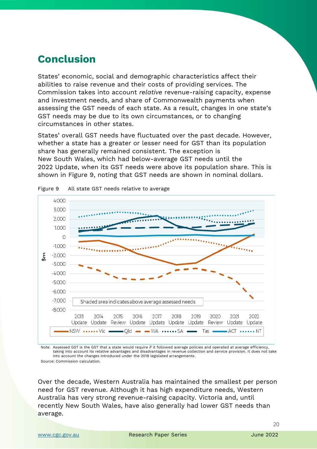# **Conclusion**

States' economic, social and demographic characteristics affect their abilities to raise revenue and their costs of providing services. The Commission takes into account *relative* revenue-raising capacity, expense and investment needs, and share of Commonwealth payments when assessing the GST needs of each state. As a result, changes in one state's GST needs may be due to its own circumstances, or to changing circumstances in other states.

States' overall GST needs have fluctuated over the past decade. However, whether a state has a greater or lesser need for GST than its population share has generally remained consistent. The exception is New South Wales, which had below-average GST needs until the 2022 Update, when its GST needs were above its population share. This is shown in [Figure 9,](#page-21-0) noting that GST needs are shown in nominal dollars.



<span id="page-21-0"></span>

Note: Assessed GST is the GST that a state would require if it followed average policies and operated at average efficiency, taking into account its relative advantages and disadvantages in revenue collection and service provision. It does not take into account the changes introduced under the 2018 legislated arrangements.

Source: Commission calculation.

Over the decade, Western Australia has maintained the smallest per person need for GST revenue. Although it has high expenditure needs, Western Australia has very strong revenue-raising capacity. Victoria and, until recently New South Wales, have also generally had lower GST needs than average.